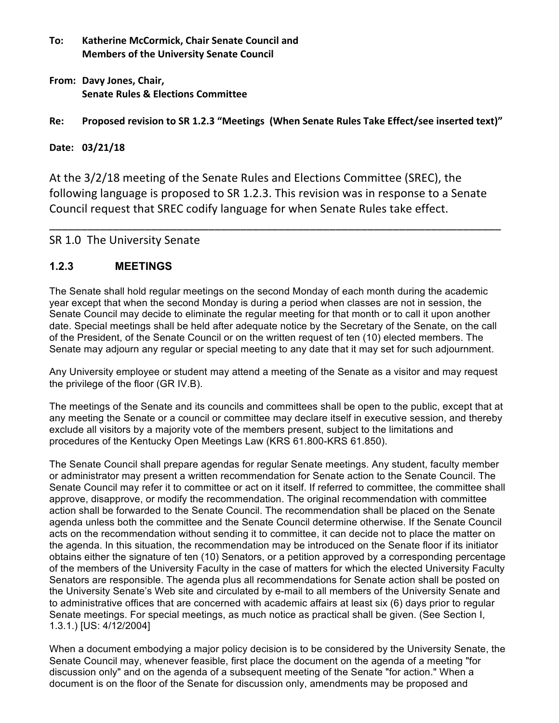- **To: Katherine McCormick, Chair Senate Council and Members of the University Senate Council**
- **From: Davy Jones, Chair, Senate Rules & Elections Committee**

## Re: Proposed revision to SR 1.2.3 "Meetings (When Senate Rules Take Effect/see inserted text)"

## **Date: 03/21/18**

At the 3/2/18 meeting of the Senate Rules and Elections Committee (SREC), the following language is proposed to SR 1.2.3. This revision was in response to a Senate Council request that SREC codify language for when Senate Rules take effect.

\_\_\_\_\_\_\_\_\_\_\_\_\_\_\_\_\_\_\_\_\_\_\_\_\_\_\_\_\_\_\_\_\_\_\_\_\_\_\_\_\_\_\_\_\_\_\_\_\_\_\_\_\_\_\_\_\_\_\_\_\_\_\_\_\_\_\_\_\_\_\_

## SR 1.0 The University Senate

## **1.2.3 MEETINGS**

The Senate shall hold regular meetings on the second Monday of each month during the academic year except that when the second Monday is during a period when classes are not in session, the Senate Council may decide to eliminate the regular meeting for that month or to call it upon another date. Special meetings shall be held after adequate notice by the Secretary of the Senate, on the call of the President, of the Senate Council or on the written request of ten (10) elected members. The Senate may adjourn any regular or special meeting to any date that it may set for such adjournment.

Any University employee or student may attend a meeting of the Senate as a visitor and may request the privilege of the floor (GR IV.B).

The meetings of the Senate and its councils and committees shall be open to the public, except that at any meeting the Senate or a council or committee may declare itself in executive session, and thereby exclude all visitors by a majority vote of the members present, subject to the limitations and procedures of the Kentucky Open Meetings Law (KRS 61.800-KRS 61.850).

The Senate Council shall prepare agendas for regular Senate meetings. Any student, faculty member or administrator may present a written recommendation for Senate action to the Senate Council. The Senate Council may refer it to committee or act on it itself. If referred to committee, the committee shall approve, disapprove, or modify the recommendation. The original recommendation with committee action shall be forwarded to the Senate Council. The recommendation shall be placed on the Senate agenda unless both the committee and the Senate Council determine otherwise. If the Senate Council acts on the recommendation without sending it to committee, it can decide not to place the matter on the agenda. In this situation, the recommendation may be introduced on the Senate floor if its initiator obtains either the signature of ten (10) Senators, or a petition approved by a corresponding percentage of the members of the University Faculty in the case of matters for which the elected University Faculty Senators are responsible. The agenda plus all recommendations for Senate action shall be posted on the University Senate's Web site and circulated by e-mail to all members of the University Senate and to administrative offices that are concerned with academic affairs at least six (6) days prior to regular Senate meetings. For special meetings, as much notice as practical shall be given. (See Section I, 1.3.1.) [US: 4/12/2004]

When a document embodying a major policy decision is to be considered by the University Senate, the Senate Council may, whenever feasible, first place the document on the agenda of a meeting "for discussion only" and on the agenda of a subsequent meeting of the Senate "for action." When a document is on the floor of the Senate for discussion only, amendments may be proposed and